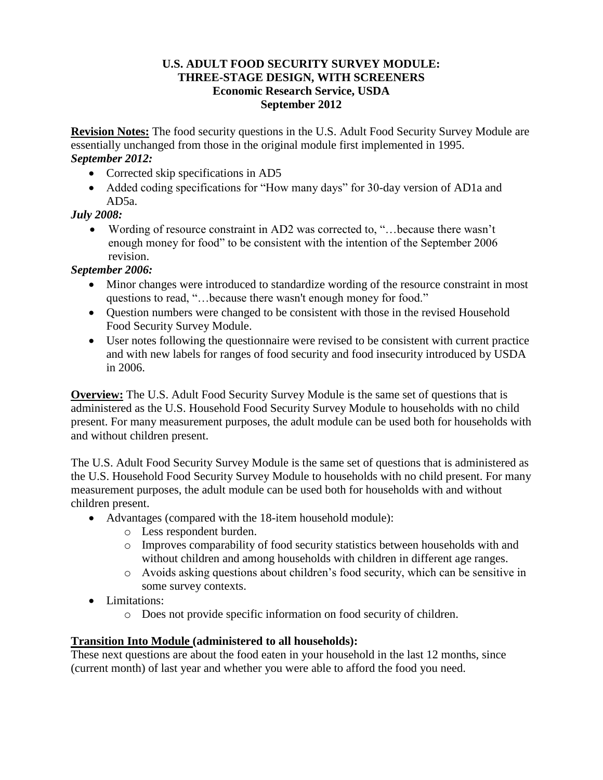#### **U.S. ADULT FOOD SECURITY SURVEY MODULE: THREE-STAGE DESIGN, WITH SCREENERS Economic Research Service, USDA September 2012**

**Revision Notes:** The food security questions in the U.S. Adult Food Security Survey Module are essentially unchanged from those in the original module first implemented in 1995. *September 2012:*

- Corrected skip specifications in AD5
- Added coding specifications for "How many days" for 30-day version of AD1a and AD5a.

# *July 2008:*

 Wording of resource constraint in AD2 was corrected to, "…because there wasn't enough money for food" to be consistent with the intention of the September 2006 revision.

# *September 2006:*

- Minor changes were introduced to standardize wording of the resource constraint in most questions to read, "…because there wasn't enough money for food."
- Ouestion numbers were changed to be consistent with those in the revised Household Food Security Survey Module.
- User notes following the questionnaire were revised to be consistent with current practice and with new labels for ranges of food security and food insecurity introduced by USDA in 2006.

**Overview:** The U.S. Adult Food Security Survey Module is the same set of questions that is administered as the U.S. Household Food Security Survey Module to households with no child present. For many measurement purposes, the adult module can be used both for households with and without children present.

The U.S. Adult Food Security Survey Module is the same set of questions that is administered as the U.S. Household Food Security Survey Module to households with no child present. For many measurement purposes, the adult module can be used both for households with and without children present.

- Advantages (compared with the 18-item household module):
	- o Less respondent burden.
	- o Improves comparability of food security statistics between households with and without children and among households with children in different age ranges.
	- o Avoids asking questions about children's food security, which can be sensitive in some survey contexts.
- Limitations:
	- o Does not provide specific information on food security of children.

## **Transition Into Module (administered to all households):**

These next questions are about the food eaten in your household in the last 12 months, since (current month) of last year and whether you were able to afford the food you need.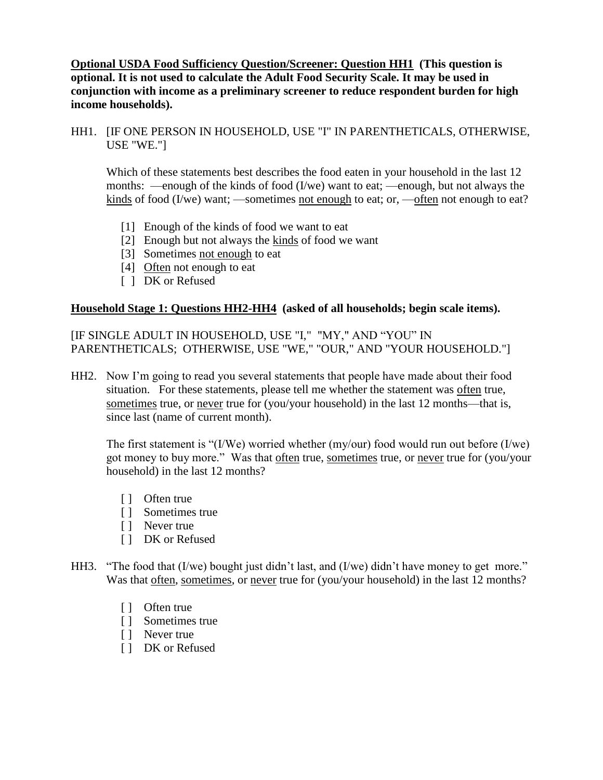**Optional USDA Food Sufficiency Question/Screener: Question HH1 (This question is optional. It is not used to calculate the Adult Food Security Scale. It may be used in conjunction with income as a preliminary screener to reduce respondent burden for high income households).**

HH1. [IF ONE PERSON IN HOUSEHOLD, USE "I" IN PARENTHETICALS, OTHERWISE, USE "WE."]

Which of these statements best describes the food eaten in your household in the last 12 months: —enough of the kinds of food (I/we) want to eat; —enough, but not always the kinds of food (I/we) want; —sometimes not enough to eat; or, —often not enough to eat?

- [1] Enough of the kinds of food we want to eat
- [2] Enough but not always the  $\frac{\text{kinds}}{\text{s} }$  of food we want
- [3] Sometimes not enough to eat
- [4] Often not enough to eat
- [ ] DK or Refused

#### **Household Stage 1: Questions HH2-HH4 (asked of all households; begin scale items).**

[IF SINGLE ADULT IN HOUSEHOLD, USE "I," "MY," AND "YOU" IN PARENTHETICALS; OTHERWISE, USE "WE," "OUR," AND "YOUR HOUSEHOLD."]

HH2. Now I'm going to read you several statements that people have made about their food situation. For these statements, please tell me whether the statement was often true, sometimes true, or never true for (you/your household) in the last 12 months—that is. since last (name of current month).

The first statement is "(I/We) worried whether (my/our) food would run out before (I/we) got money to buy more." Was that often true, sometimes true, or never true for (you/your household) in the last 12 months?

- [ ] Often true
- [ ] Sometimes true
- [ ] Never true
- [ ] DK or Refused
- HH3. "The food that (I/we) bought just didn't last, and (I/we) didn't have money to get more." Was that often, sometimes, or never true for (you/your household) in the last 12 months?
	- [ ] Often true
	- [ ] Sometimes true
	- [ ] Never true
	- [ ] DK or Refused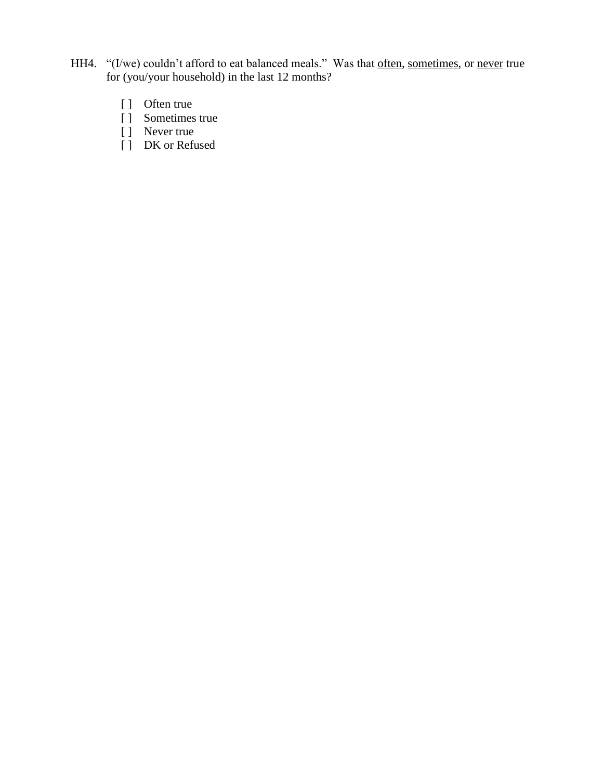- HH4. "(I/we) couldn't afford to eat balanced meals." Was that often, sometimes, or never true for (you/your household) in the last 12 months?
	- [ ] Often true
	- [ ] Sometimes true
	- [ ] Never true
		- [ ] DK or Refused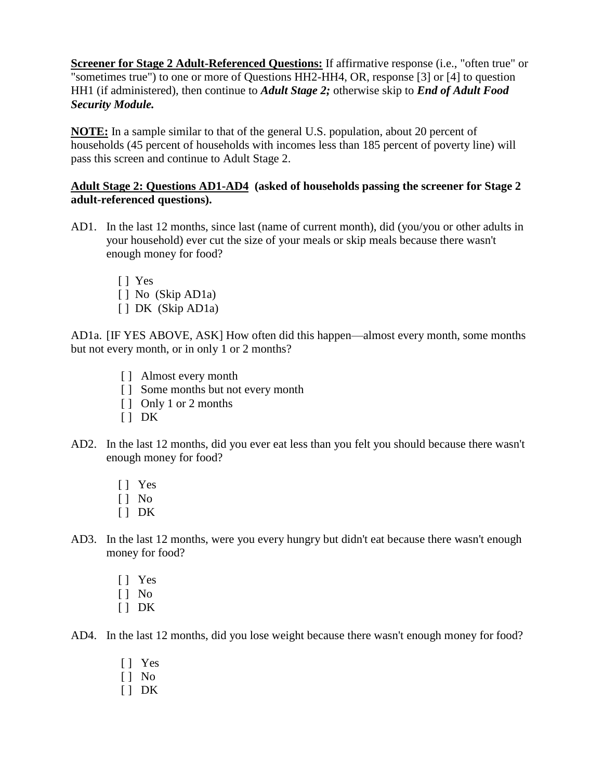**Screener for Stage 2 Adult-Referenced Questions:** If affirmative response (i.e., "often true" or "sometimes true") to one or more of Questions HH2-HH4, OR, response [3] or [4] to question HH1 (if administered), then continue to *Adult Stage 2;* otherwise skip to *End of Adult Food Security Module.*

**NOTE:** In a sample similar to that of the general U.S. population, about 20 percent of households (45 percent of households with incomes less than 185 percent of poverty line) will pass this screen and continue to Adult Stage 2.

## **Adult Stage 2: Questions AD1-AD4 (asked of households passing the screener for Stage 2 adult-referenced questions).**

- AD1. In the last 12 months, since last (name of current month), did (you/you or other adults in your household) ever cut the size of your meals or skip meals because there wasn't enough money for food?
	- [ ] Yes
	- [ ] No (Skip AD1a)
	- [ ] DK (Skip AD1a)

AD1a. [IF YES ABOVE, ASK] How often did this happen—almost every month, some months but not every month, or in only 1 or 2 months?

- [ ] Almost every month
- [ ] Some months but not every month
- [ ] Only 1 or 2 months
- $[ ] DK$
- AD2. In the last 12 months, did you ever eat less than you felt you should because there wasn't enough money for food?
	- [ ] Yes
	- [ ] No
	- $[ ]$  DK
- AD3. In the last 12 months, were you every hungry but didn't eat because there wasn't enough money for food?
	- [ ] Yes
	- [ ] No
	- $[ ]$  DK
- AD4. In the last 12 months, did you lose weight because there wasn't enough money for food?
	- [ ] Yes
	- [ ] No
	- $[1]$  DK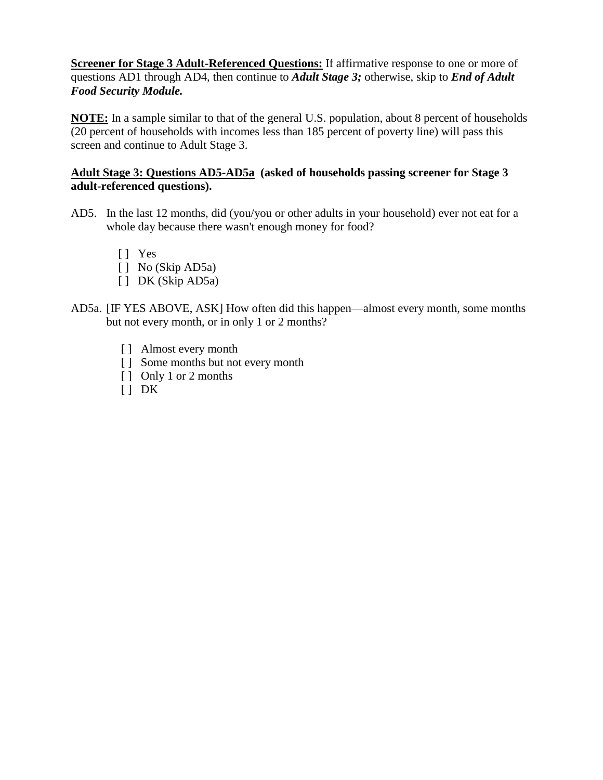**Screener for Stage 3 Adult-Referenced Questions:** If affirmative response to one or more of questions AD1 through AD4, then continue to *Adult Stage 3;* otherwise, skip to *End of Adult Food Security Module.*

**NOTE:** In a sample similar to that of the general U.S. population, about 8 percent of households (20 percent of households with incomes less than 185 percent of poverty line) will pass this screen and continue to Adult Stage 3.

### **Adult Stage 3: Questions AD5-AD5a (asked of households passing screener for Stage 3 adult-referenced questions).**

- AD5. In the last 12 months, did (you/you or other adults in your household) ever not eat for a whole day because there wasn't enough money for food?
	- [ ] Yes
	- [ ] No (Skip AD5a)
	- [ ] DK (Skip AD5a)
- AD5a. [IF YES ABOVE, ASK] How often did this happen—almost every month, some months but not every month, or in only 1 or 2 months?
	- [ ] Almost every month
	- [ ] Some months but not every month
	- [ ] Only 1 or 2 months
	- $[ ] DK$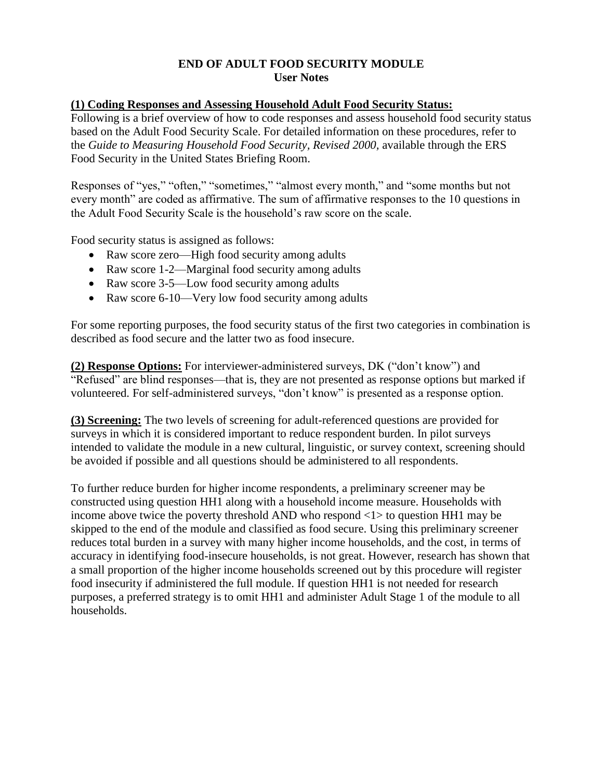#### **END OF ADULT FOOD SECURITY MODULE User Notes**

#### **(1) Coding Responses and Assessing Household Adult Food Security Status:**

Following is a brief overview of how to code responses and assess household food security status based on the Adult Food Security Scale. For detailed information on these procedures, refer to the *Guide to Measuring Household Food Security, Revised 2000,* available through the ERS Food Security in the United States Briefing Room.

Responses of "yes," "often," "sometimes," "almost every month," and "some months but not every month" are coded as affirmative. The sum of affirmative responses to the 10 questions in the Adult Food Security Scale is the household's raw score on the scale.

Food security status is assigned as follows:

- Raw score zero—High food security among adults
- Raw score 1-2—Marginal food security among adults
- Raw score 3-5—Low food security among adults
- Raw score 6-10—Very low food security among adults

For some reporting purposes, the food security status of the first two categories in combination is described as food secure and the latter two as food insecure.

**(2) Response Options:** For interviewer-administered surveys, DK ("don't know") and "Refused" are blind responses—that is, they are not presented as response options but marked if volunteered. For self-administered surveys, "don't know" is presented as a response option.

**(3) Screening:** The two levels of screening for adult-referenced questions are provided for surveys in which it is considered important to reduce respondent burden. In pilot surveys intended to validate the module in a new cultural, linguistic, or survey context, screening should be avoided if possible and all questions should be administered to all respondents.

To further reduce burden for higher income respondents, a preliminary screener may be constructed using question HH1 along with a household income measure. Households with income above twice the poverty threshold AND who respond <1> to question HH1 may be skipped to the end of the module and classified as food secure. Using this preliminary screener reduces total burden in a survey with many higher income households, and the cost, in terms of accuracy in identifying food-insecure households, is not great. However, research has shown that a small proportion of the higher income households screened out by this procedure will register food insecurity if administered the full module. If question HH1 is not needed for research purposes, a preferred strategy is to omit HH1 and administer Adult Stage 1 of the module to all households.